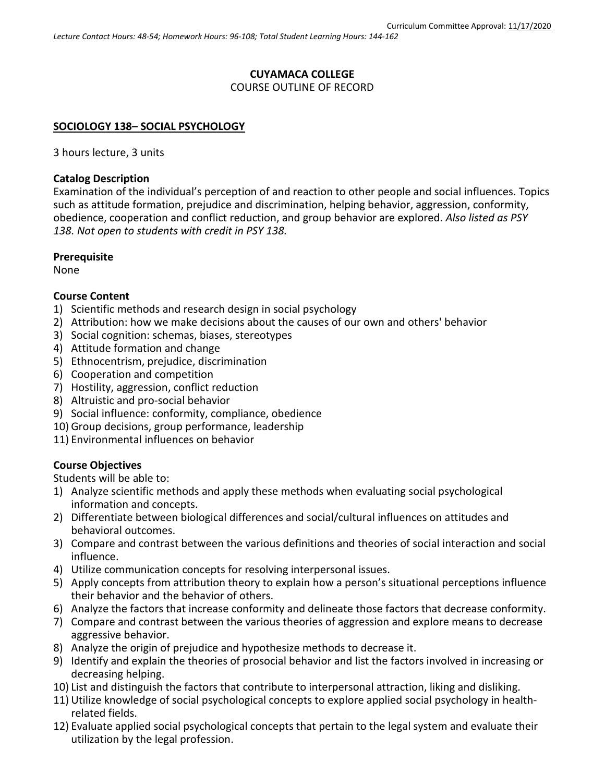#### **CUYAMACA COLLEGE** COURSE OUTLINE OF RECORD

#### **SOCIOLOGY 138– SOCIAL PSYCHOLOGY**

3 hours lecture, 3 units

#### **Catalog Description**

Examination of the individual's perception of and reaction to other people and social influences. Topics such as attitude formation, prejudice and discrimination, helping behavior, aggression, conformity, obedience, cooperation and conflict reduction, and group behavior are explored. *Also listed as PSY 138. Not open to students with credit in PSY 138.*

#### **Prerequisite**

None

#### **Course Content**

- 1) Scientific methods and research design in social psychology
- 2) Attribution: how we make decisions about the causes of our own and others' behavior
- 3) Social cognition: schemas, biases, stereotypes
- 4) Attitude formation and change
- 5) Ethnocentrism, prejudice, discrimination
- 6) Cooperation and competition
- 7) Hostility, aggression, conflict reduction
- 8) Altruistic and pro-social behavior
- 9) Social influence: conformity, compliance, obedience
- 10) Group decisions, group performance, leadership
- 11) Environmental influences on behavior

#### **Course Objectives**

Students will be able to:

- 1) Analyze scientific methods and apply these methods when evaluating social psychological information and concepts.
- 2) Differentiate between biological differences and social/cultural influences on attitudes and behavioral outcomes.
- 3) Compare and contrast between the various definitions and theories of social interaction and social influence.
- 4) Utilize communication concepts for resolving interpersonal issues.
- 5) Apply concepts from attribution theory to explain how a person's situational perceptions influence their behavior and the behavior of others.
- 6) Analyze the factors that increase conformity and delineate those factors that decrease conformity.
- 7) Compare and contrast between the various theories of aggression and explore means to decrease aggressive behavior.
- 8) Analyze the origin of prejudice and hypothesize methods to decrease it.
- 9) Identify and explain the theories of prosocial behavior and list the factors involved in increasing or decreasing helping.
- 10) List and distinguish the factors that contribute to interpersonal attraction, liking and disliking.
- 11) Utilize knowledge of social psychological concepts to explore applied social psychology in healthrelated fields.
- 12) Evaluate applied social psychological concepts that pertain to the legal system and evaluate their utilization by the legal profession.